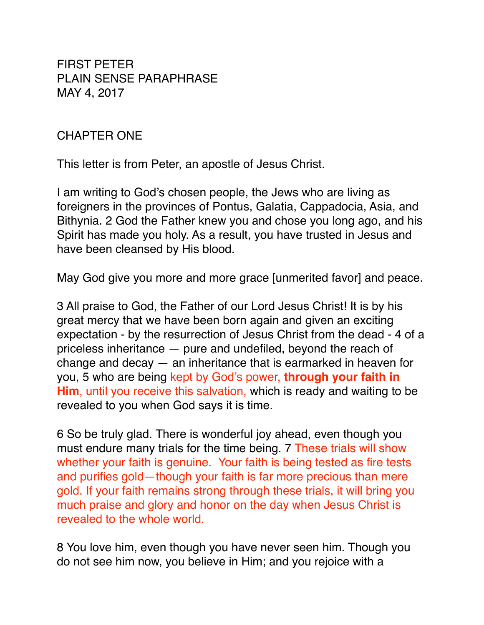FIRST PETER PLAIN SENSE PARAPHRASE MAY 4, 2017

#### CHAPTER ONE

This letter is from Peter, an apostle of Jesus Christ.

I am writing to God's chosen people, the Jews who are living as foreigners in the provinces of Pontus, Galatia, Cappadocia, Asia, and Bithynia. 2 God the Father knew you and chose you long ago, and his Spirit has made you holy. As a result, you have trusted in Jesus and have been cleansed by His blood.

May God give you more and more grace [unmerited favor] and peace.

3 All praise to God, the Father of our Lord Jesus Christ! It is by his great mercy that we have been born again and given an exciting expectation - by the resurrection of Jesus Christ from the dead - 4 of a priceless inheritance — pure and undefiled, beyond the reach of change and decay — an inheritance that is earmarked in heaven for you, 5 who are being kept by God's power, **through your faith in Him**, until you receive this salvation, which is ready and waiting to be revealed to you when God says it is time.

6 So be truly glad. There is wonderful joy ahead, even though you must endure many trials for the time being. 7 These trials will show whether your faith is genuine. Your faith is being tested as fire tests and purifies gold—though your faith is far more precious than mere gold. If your faith remains strong through these trials, it will bring you much praise and glory and honor on the day when Jesus Christ is revealed to the whole world.

8 You love him, even though you have never seen him. Though you do not see him now, you believe in Him; and you rejoice with a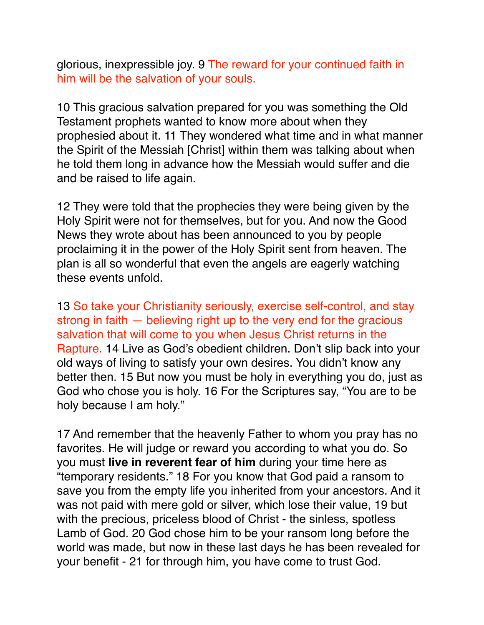glorious, inexpressible joy. 9 The reward for your continued faith in him will be the salvation of your souls.

10 This gracious salvation prepared for you was something the Old Testament prophets wanted to know more about when they prophesied about it. 11 They wondered what time and in what manner the Spirit of the Messiah [Christ] within them was talking about when he told them long in advance how the Messiah would suffer and die and be raised to life again.

12 They were told that the prophecies they were being given by the Holy Spirit were not for themselves, but for you. And now the Good News they wrote about has been announced to you by people proclaiming it in the power of the Holy Spirit sent from heaven. The plan is all so wonderful that even the angels are eagerly watching these events unfold.

13 So take your Christianity seriously, exercise self-control, and stay strong in faith — believing right up to the very end for the gracious salvation that will come to you when Jesus Christ returns in the Rapture. 14 Live as God's obedient children. Don't slip back into your old ways of living to satisfy your own desires. You didn't know any better then. 15 But now you must be holy in everything you do, just as God who chose you is holy. 16 For the Scriptures say, "You are to be holy because I am holy."

17 And remember that the heavenly Father to whom you pray has no favorites. He will judge or reward you according to what you do. So you must **live in reverent fear of him** during your time here as "temporary residents." 18 For you know that God paid a ransom to save you from the empty life you inherited from your ancestors. And it was not paid with mere gold or silver, which lose their value, 19 but with the precious, priceless blood of Christ - the sinless, spotless Lamb of God. 20 God chose him to be your ransom long before the world was made, but now in these last days he has been revealed for your benefit - 21 for through him, you have come to trust God.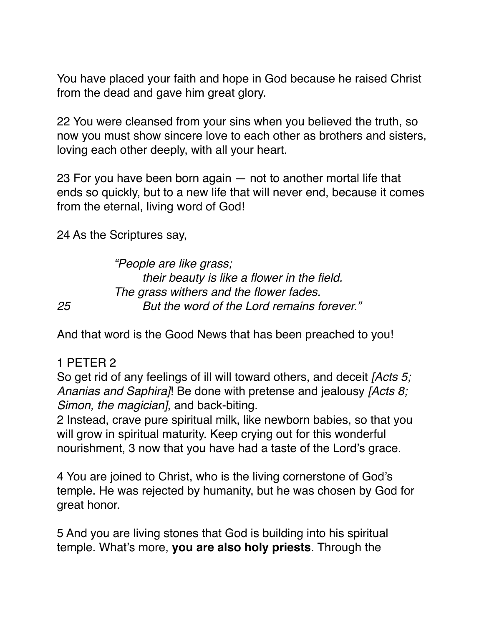You have placed your faith and hope in God because he raised Christ from the dead and gave him great glory.

22 You were cleansed from your sins when you believed the truth, so now you must show sincere love to each other as brothers and sisters, loving each other deeply, with all your heart.

23 For you have been born again — not to another mortal life that ends so quickly, but to a new life that will never end, because it comes from the eternal, living word of God!

24 As the Scriptures say,

*"People are like grass; their beauty is like a flower in the field. The grass withers and the flower fades. 25 But the word of the Lord remains forever."*

And that word is the Good News that has been preached to you!

### 1 PETER 2

So get rid of any feelings of ill will toward others, and deceit *[Acts 5; Ananias and Saphira]*! Be done with pretense and jealousy *[Acts 8; Simon, the magician]*, and back-biting.

2 Instead, crave pure spiritual milk, like newborn babies, so that you will grow in spiritual maturity. Keep crying out for this wonderful nourishment, 3 now that you have had a taste of the Lord's grace.

4 You are joined to Christ, who is the living cornerstone of God's temple. He was rejected by humanity, but he was chosen by God for great honor.

5 And you are living stones that God is building into his spiritual temple. What's more, **you are also holy priests**. Through the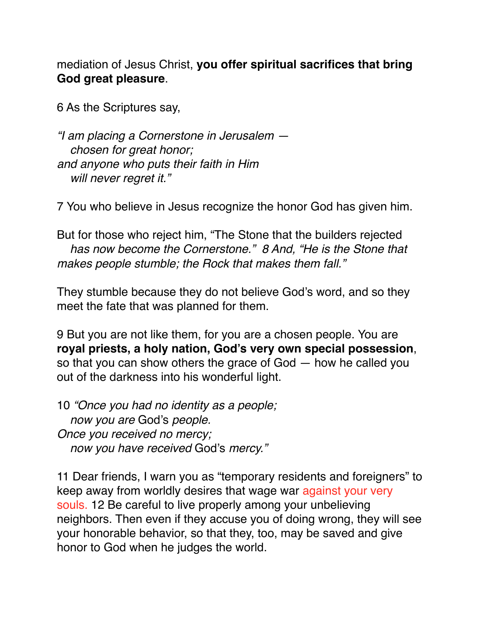mediation of Jesus Christ, **you offer spiritual sacrifices that bring God great pleasure**.

6 As the Scriptures say,

*"I am placing a Cornerstone in Jerusalem chosen for great honor; and anyone who puts their faith in Him will never regret it."*

7 You who believe in Jesus recognize the honor God has given him.

But for those who reject him, "The Stone that the builders rejected  *has now become the Cornerstone." 8 And, "He is the Stone that makes people stumble; the Rock that makes them fall."*

They stumble because they do not believe God's word, and so they meet the fate that was planned for them.

9 But you are not like them, for you are a chosen people. You are **royal priests, a holy nation, God's very own special possession**, so that you can show others the grace of God — how he called you out of the darkness into his wonderful light.

10 *"Once you had no identity as a people; now you are* God's *people. Once you received no mercy; now you have received* God's *mercy."*

11 Dear friends, I warn you as "temporary residents and foreigners" to keep away from worldly desires that wage war against your very souls. 12 Be careful to live properly among your unbelieving neighbors. Then even if they accuse you of doing wrong, they will see your honorable behavior, so that they, too, may be saved and give honor to God when he judges the world.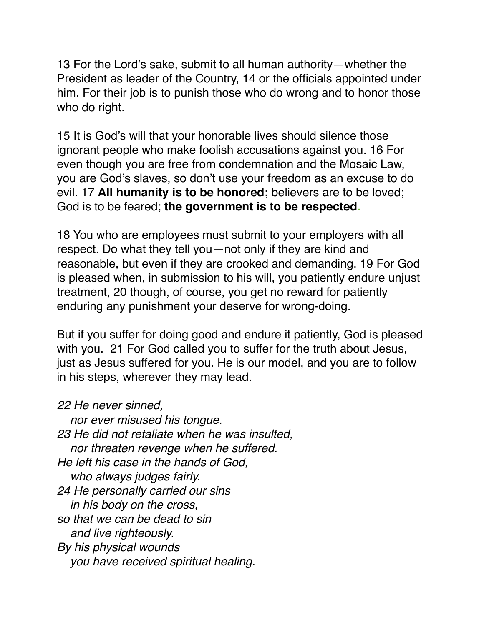13 For the Lord's sake, submit to all human authority—whether the President as leader of the Country, 14 or the officials appointed under him. For their job is to punish those who do wrong and to honor those who do right.

15 It is God's will that your honorable lives should silence those ignorant people who make foolish accusations against you. 16 For even though you are free from condemnation and the Mosaic Law, you are God's slaves, so don't use your freedom as an excuse to do evil. 17 **All humanity is to be honored;** believers are to be loved; God is to be feared; **the government is to be respected.**

18 You who are employees must submit to your employers with all respect. Do what they tell you—not only if they are kind and reasonable, but even if they are crooked and demanding. 19 For God is pleased when, in submission to his will, you patiently endure unjust treatment, 20 though, of course, you get no reward for patiently enduring any punishment your deserve for wrong-doing.

But if you suffer for doing good and endure it patiently, God is pleased with you. 21 For God called you to suffer for the truth about Jesus, just as Jesus suffered for you. He is our model, and you are to follow in his steps, wherever they may lead.

*22 He never sinned,*

 *nor ever misused his tongue. 23 He did not retaliate when he was insulted, nor threaten revenge when he suffered. He left his case in the hands of God, who always judges fairly. 24 He personally carried our sins in his body on the cross, so that we can be dead to sin and live righteously. By his physical wounds you have received spiritual healing.*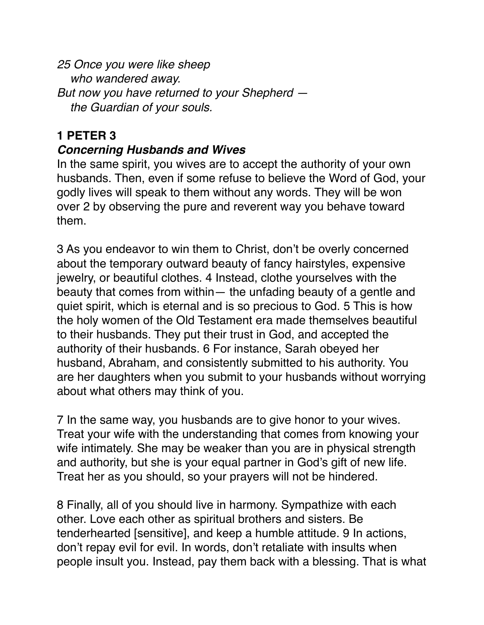*25 Once you were like sheep who wandered away. But now you have returned to your Shepherd the Guardian of your souls.*

# **1 PETER 3**

#### *Concerning Husbands and Wives*

In the same spirit, you wives are to accept the authority of your own husbands. Then, even if some refuse to believe the Word of God, your godly lives will speak to them without any words. They will be won over 2 by observing the pure and reverent way you behave toward them.

3 As you endeavor to win them to Christ, don't be overly concerned about the temporary outward beauty of fancy hairstyles, expensive jewelry, or beautiful clothes. 4 Instead, clothe yourselves with the beauty that comes from within— the unfading beauty of a gentle and quiet spirit, which is eternal and is so precious to God. 5 This is how the holy women of the Old Testament era made themselves beautiful to their husbands. They put their trust in God, and accepted the authority of their husbands. 6 For instance, Sarah obeyed her husband, Abraham, and consistently submitted to his authority. You are her daughters when you submit to your husbands without worrying about what others may think of you.

7 In the same way, you husbands are to give honor to your wives. Treat your wife with the understanding that comes from knowing your wife intimately. She may be weaker than you are in physical strength and authority, but she is your equal partner in God's gift of new life. Treat her as you should, so your prayers will not be hindered.

8 Finally, all of you should live in harmony. Sympathize with each other. Love each other as spiritual brothers and sisters. Be tenderhearted [sensitive], and keep a humble attitude. 9 In actions, don't repay evil for evil. In words, don't retaliate with insults when people insult you. Instead, pay them back with a blessing. That is what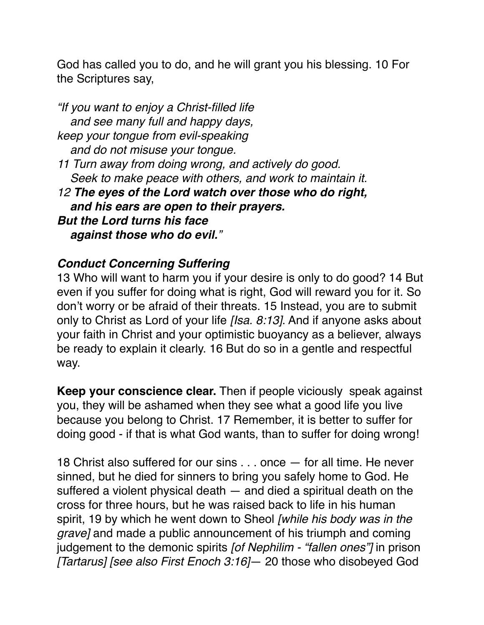God has called you to do, and he will grant you his blessing. 10 For the Scriptures say,

*"If you want to enjoy a Christ-filled life and see many full and happy days, keep your tongue from evil-speaking and do not misuse your tongue. 11 Turn away from doing wrong, and actively do good. Seek to make peace with others, and work to maintain it. 12 The eyes of the Lord watch over those who do right, and his ears are open to their prayers. But the Lord turns his face against those who do evil."*

## *Conduct Concerning Suffering*

13 Who will want to harm you if your desire is only to do good? 14 But even if you suffer for doing what is right, God will reward you for it. So don't worry or be afraid of their threats. 15 Instead, you are to submit only to Christ as Lord of your life *[Isa. 8:13]*. And if anyone asks about your faith in Christ and your optimistic buoyancy as a believer, always be ready to explain it clearly. 16 But do so in a gentle and respectful way.

**Keep your conscience clear.** Then if people viciously speak against you, they will be ashamed when they see what a good life you live because you belong to Christ. 17 Remember, it is better to suffer for doing good - if that is what God wants, than to suffer for doing wrong!

18 Christ also suffered for our sins . . . once — for all time. He never sinned, but he died for sinners to bring you safely home to God. He suffered a violent physical death — and died a spiritual death on the cross for three hours, but he was raised back to life in his human spirit, 19 by which he went down to Sheol *[while his body was in the grave]* and made a public announcement of his triumph and coming judgement to the demonic spirits *[of Nephilim - "fallen ones"]* in prison *[Tartarus] [see also First Enoch 3:16]*— 20 those who disobeyed God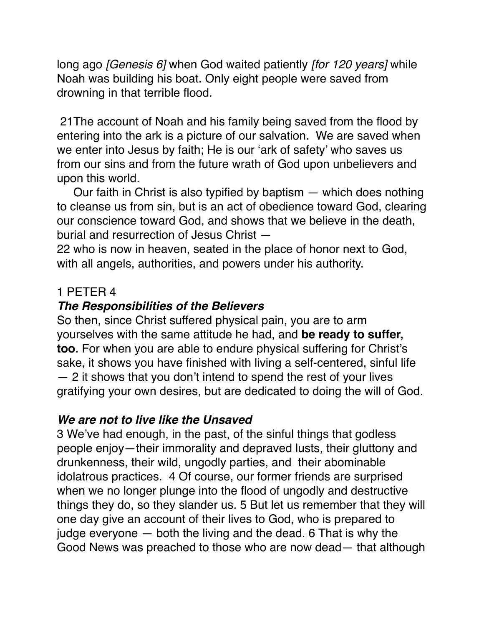long ago *[Genesis 6]* when God waited patiently *[for 120 years]* while Noah was building his boat. Only eight people were saved from drowning in that terrible flood.

 21The account of Noah and his family being saved from the flood by entering into the ark is a picture of our salvation. We are saved when we enter into Jesus by faith; He is our 'ark of safety' who saves us from our sins and from the future wrath of God upon unbelievers and upon this world.

 Our faith in Christ is also typified by baptism — which does nothing to cleanse us from sin, but is an act of obedience toward God, clearing our conscience toward God, and shows that we believe in the death, burial and resurrection of Jesus Christ —

22 who is now in heaven, seated in the place of honor next to God, with all angels, authorities, and powers under his authority.

### 1 PETER 4

# *The Responsibilities of the Believers*

So then, since Christ suffered physical pain, you are to arm yourselves with the same attitude he had, and **be ready to suffer, too**. For when you are able to endure physical suffering for Christ's sake, it shows you have finished with living a self-centered, sinful life — 2 it shows that you don't intend to spend the rest of your lives gratifying your own desires, but are dedicated to doing the will of God.

### *We are not to live like the Unsaved*

3 We've had enough, in the past, of the sinful things that godless people enjoy—their immorality and depraved lusts, their gluttony and drunkenness, their wild, ungodly parties, and their abominable idolatrous practices. 4 Of course, our former friends are surprised when we no longer plunge into the flood of ungodly and destructive things they do, so they slander us. 5 But let us remember that they will one day give an account of their lives to God, who is prepared to judge everyone — both the living and the dead. 6 That is why the Good News was preached to those who are now dead— that although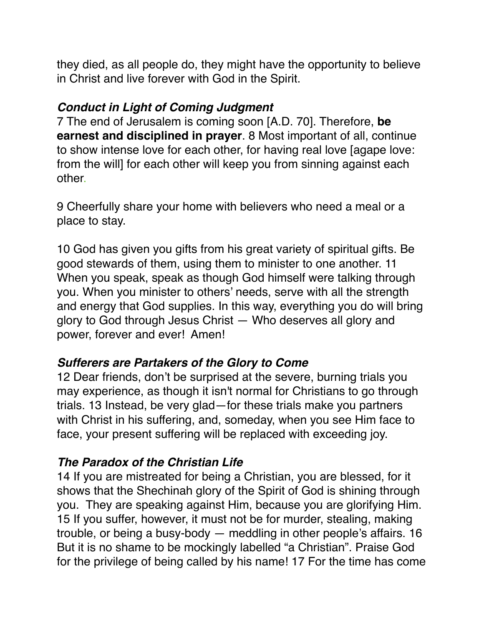they died, as all people do, they might have the opportunity to believe in Christ and live forever with God in the Spirit.

#### *Conduct in Light of Coming Judgment*

7 The end of Jerusalem is coming soon [A.D. 70]. Therefore, **be earnest and disciplined in prayer**. 8 Most important of all, continue to show intense love for each other, for having real love [agape love: from the will] for each other will keep you from sinning against each other.

9 Cheerfully share your home with believers who need a meal or a place to stay.

10 God has given you gifts from his great variety of spiritual gifts. Be good stewards of them, using them to minister to one another. 11 When you speak, speak as though God himself were talking through you. When you minister to others' needs, serve with all the strength and energy that God supplies. In this way, everything you do will bring glory to God through Jesus Christ — Who deserves all glory and power, forever and ever! Amen!

### *Sufferers are Partakers of the Glory to Come*

12 Dear friends, don't be surprised at the severe, burning trials you may experience, as though it isn't normal for Christians to go through trials. 13 Instead, be very glad—for these trials make you partners with Christ in his suffering, and, someday, when you see Him face to face, your present suffering will be replaced with exceeding joy.

# *The Paradox of the Christian Life*

14 If you are mistreated for being a Christian, you are blessed, for it shows that the Shechinah glory of the Spirit of God is shining through you. They are speaking against Him, because you are glorifying Him. 15 If you suffer, however, it must not be for murder, stealing, making trouble, or being a busy-body — meddling in other people's affairs. 16 But it is no shame to be mockingly labelled "a Christian". Praise God for the privilege of being called by his name! 17 For the time has come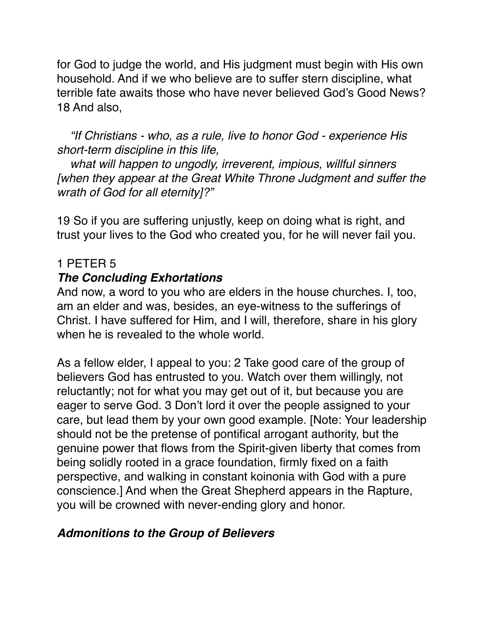for God to judge the world, and His judgment must begin with His own household. And if we who believe are to suffer stern discipline, what terrible fate awaits those who have never believed God's Good News? 18 And also,

 *"If Christians - who, as a rule, live to honor God - experience His short-term discipline in this life,*

 *what will happen to ungodly, irreverent, impious, willful sinners [when they appear at the Great White Throne Judgment and suffer the wrath of God for all eternity]?"*

19 So if you are suffering unjustly, keep on doing what is right, and trust your lives to the God who created you, for he will never fail you.

#### 1 PETER 5

## *The Concluding Exhortations*

And now, a word to you who are elders in the house churches. I, too, am an elder and was, besides, an eye-witness to the sufferings of Christ. I have suffered for Him, and I will, therefore, share in his glory when he is revealed to the whole world.

As a fellow elder, I appeal to you: 2 Take good care of the group of believers God has entrusted to you. Watch over them willingly, not reluctantly; not for what you may get out of it, but because you are eager to serve God. 3 Don't lord it over the people assigned to your care, but lead them by your own good example. [Note: Your leadership should not be the pretense of pontifical arrogant authority, but the genuine power that flows from the Spirit-given liberty that comes from being solidly rooted in a grace foundation, firmly fixed on a faith perspective, and walking in constant koinonia with God with a pure conscience.] And when the Great Shepherd appears in the Rapture, you will be crowned with never-ending glory and honor.

### *Admonitions to the Group of Believers*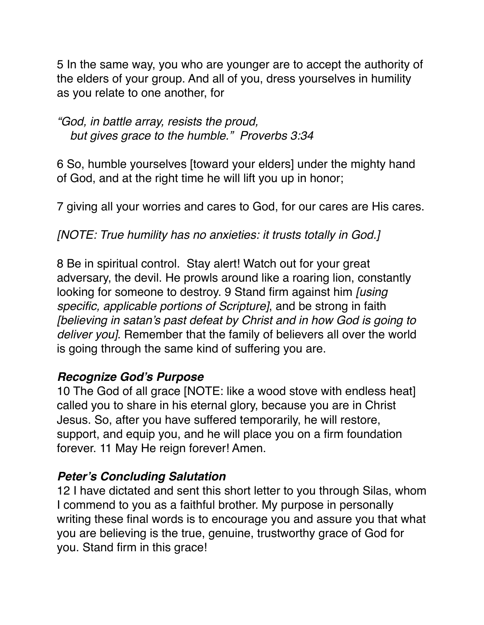5 In the same way, you who are younger are to accept the authority of the elders of your group. And all of you, dress yourselves in humility as you relate to one another, for

*"God, in battle array, resists the proud, but gives grace to the humble." Proverbs 3:34*

6 So, humble yourselves [toward your elders] under the mighty hand of God, and at the right time he will lift you up in honor;

7 giving all your worries and cares to God, for our cares are His cares.

#### *[NOTE: True humility has no anxieties: it trusts totally in God.]*

8 Be in spiritual control. Stay alert! Watch out for your great adversary, the devil. He prowls around like a roaring lion, constantly looking for someone to destroy. 9 Stand firm against him *[using specific, applicable portions of Scripture]*, and be strong in faith *[believing in satan's past defeat by Christ and in how God is going to deliver you]*. Remember that the family of believers all over the world is going through the same kind of suffering you are.

#### *Recognize God's Purpose*

10 The God of all grace [NOTE: like a wood stove with endless heat] called you to share in his eternal glory, because you are in Christ Jesus. So, after you have suffered temporarily, he will restore, support, and equip you, and he will place you on a firm foundation forever. 11 May He reign forever! Amen.

### *Peter's Concluding Salutation*

12 I have dictated and sent this short letter to you through Silas, whom I commend to you as a faithful brother. My purpose in personally writing these final words is to encourage you and assure you that what you are believing is the true, genuine, trustworthy grace of God for you. Stand firm in this grace!